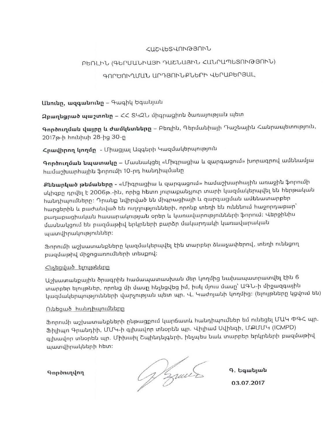### **ՀԱՇՎԵՏՎՈՒԹՅՈՒՆ**

## ԲԵՌԼԻՆ (ԳԵՐՄԱՆԻԱՅԻ ԴԱՇՆԱՅԻՆ ՀԱՆՐԱՊԵՏՈՒԹՅՈՒՆ)

### ԳՈՐԾՈՒՂՄԱՆ ԱՐԴՅՈՒՆՔՆԵՐԻ ՎԵՐԱԲԵՐՅԱԼ

Անունը, ազգանունը - Գագիկ Եգանյան

2puntgnuծ պաշտոնը - << SԿ2b միգրացիոն ծառայության պետ

<mark>Գործուղման վայրը և ժամկետները</mark> – Բեռլին, Գերմանիայի Դաշնային Հանրապետություն, 2017թ-ի հունիսի 28-ից 30-ը

**Հրավիրող կողմը** - Միացյալ Ազգերի Կազմակերպություն

**Գործուղման նպատակը** – Մասնակցել «Միգրացիա և զարգացում» խորագրով ամենամյա համաշխարհային ֆորումի 10-րդ հանդիպմանը

Ք**ննարկած թեմաները** - «Միգրացիա և զարգացում» համաշխարհային առաջին ֆորումի սկիզբը դրվել է 2006թ.-ին, որից հետո յուրաքանչյուր տարի կազմակերպվել են հերթական հանդիպումները։ Դրանք նվիրված են միգրացիայի և զարգացման ամենատարբեր հարցերին և բաժանված են ուղղությունների, որոնք տեղի են ունենում հաջորդաբար՝ քաղաքացիական հասարակության օրեր և կառավարությունների ֆորում։ Վերջինիս մասնակցում են բազմաթիվ երկրների բարձր մակարդակի կառավարական պատվիրակություններ։

Ֆորումի աշխատանքները կազմակերպվել էին տարբեր ձևաչափերով, տեղի ունեցող բազմաթիվ միջոցառումների տեսքով։

#### Հնչեցված ելույթները

Աշխատանքային ծրագրին համապատասխան մեր կողմից նախապատրատվել էին 6 տարբեր ելույթներ, որոնց մի մասը հնչեցվեց իմ, իսկ մյուս մասը՝ ԱԳՆ-ի միջազգային կազմակերպությունների վարչության պետ պր. Վ. Կաժոյանի կողմից։ (ելույթները կցվում են)

#### Ունեցած հանդիպումները

Ֆորումի աշխատանքների ընթացքում կարճատև հանդիպումներ եմ ունեցել ՄԱԿ ՓԳՀ պր. Ֆիլիպո Գրանդիի, ՄՄԿ-ի գլխավոր տնօրեն պր. Վիլիամ Սվինգի, ՄՔՄՄԿ (ICMPD) գլխավոր տնօրեն պր. Միխաիլ Շպինդելգերի, ինչպես նաև տարբեր երկրների բազմաթիվ պատվիրակների հետ։

Գործուղվող

Of zumes

Գ. Եգանյան 03.07.2017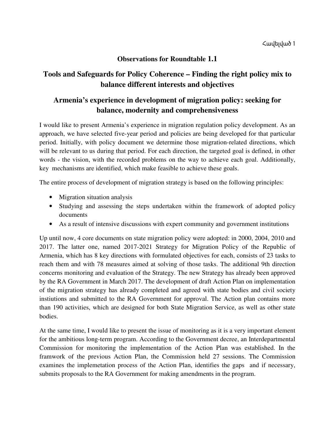## **Observations for Roundtable 1.1**

# **Tools and Safeguards for Policy Coherence – Finding the right policy mix to balance different interests and objectives**

# **Armenia's experience in development of migration policy: seeking for balance, modernity and comprehensiveness**

I would like to present Armenia's experience in migration regulation policy development. As an approach, we have selected five-year period and policies are being developed for that particular period. Initially, with policy document we determine those migration-related directions, which will be relevant to us during that period. For each direction, the targeted goal is defined, in other words - the vision, with the recorded problems on the way to achieve each goal. Additionally, key mechanisms are identified, which make feasible to achieve these goals.

The entire process of development of migration strategy is based on the following principles:

- Migration situation analysis
- Studying and assessing the steps undertaken within the framework of adopted policy documents
- As a result of intensive discussions with expert community and government institutions

Up until now, 4 core documents on state migration policy were adopted: in 2000, 2004, 2010 and 2017. The latter one, named 2017-2021 Strategy for Migration Policy of the Republic of Armenia, which has 8 key directions with formulated objectives for each, consists of 23 tasks to reach them and with 78 measures aimed at solving of those tasks. The additional 9th direction concerns monitoring and evaluation of the Strategy. The new Strategy has already been approved by the RA Government in March 2017. The development of draft Action Plan on implementation of the migration strategy has already completed and agreed with state bodies and civil society instiutions and submitted to the RA Government for approval. The Action plan contains more than 190 activities, which are designed for both State Migration Service, as well as other state bodies.

At the same time, I would like to present the issue of monitoring as it is a very important element for the ambitious long-term program. According to the Government decree, an Interdepartmental Commission for monitoring the implementation of the Action Plan was established. In the framwork of the previous Action Plan, the Commission held 27 sessions. The Commission examines the implemetation process of the Action Plan, identifies the gaps and if necessary, submits proposals to the RA Government for making amendments in the program.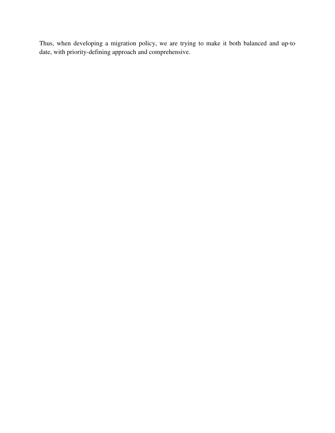Thus, when developing a migration policy, we are trying to make it both balanced and up-to date, with priority-defining approach and comprehensive.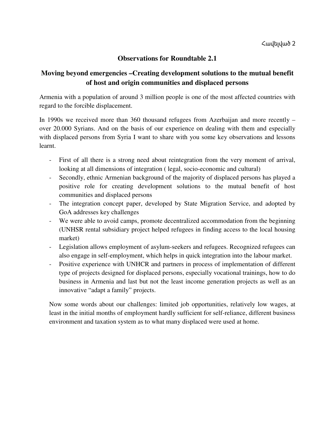## **Observations for Roundtable 2.1**

## **Moving beyond emergencies –Creating development solutions to the mutual benefit of host and origin communities and displaced persons**

Armenia with a population of around 3 million people is one of the most affected countries with regard to the forcible displacement.

In 1990s we received more than 360 thousand refugees from Azerbaijan and more recently – over 20.000 Syrians. And on the basis of our experience on dealing with them and especially with displaced persons from Syria I want to share with you some key observations and lessons learnt.

- First of all there is a strong need about reintegration from the very moment of arrival, looking at all dimensions of integration ( legal, socio-economic and cultural)
- Secondly, ethnic Armenian background of the majority of displaced persons has played a positive role for creating development solutions to the mutual benefit of host communities and displaced persons
- The integration concept paper, developed by State Migration Service, and adopted by GoA addresses key challenges
- We were able to avoid camps, promote decentralized accommodation from the beginning (UNHSR rental subsidiary project helped refugees in finding access to the local housing market)
- Legislation allows employment of asylum-seekers and refugees. Recognized refugees can also engage in self-employment, which helps in quick integration into the labour market.
- Positive experience with UNHCR and partners in process of implementation of different type of projects designed for displaced persons, especially vocational trainings, how to do business in Armenia and last but not the least income generation projects as well as an innovative "adapt a family" projects.

Now some words about our challenges: limited job opportunities, relatively low wages, at least in the initial months of employment hardly sufficient for self-reliance, different business environment and taxation system as to what many displaced were used at home.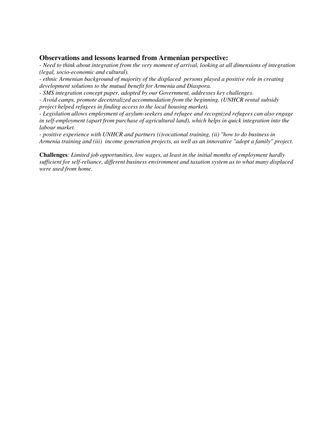#### **Observations and lessons learned from Armenian perspective:**

*- Need to think about integration from the very moment of arrival, looking at all dimensions of integration (legal, socio-economic and cultural).*

*- ethnic Armenian background of majority of the displaced persons played a positive role in creating development solutions to the mutual benefit for Armenia and Diaspora.*

*- SMS integration concept paper, adopted by our Government, addresses key challenges.*

*- Avoid camps, promote decentralized accommodation from the beginning. (UNHCR rental subsidy project helped refugees in finding access to the local housing market).*

*- Legislation allows employment of asylum-seekers and refugee and recognized refugees can also engage in self-employment (apart from purchase of agricultural land), which helps in quick integration into the labour market.*

*- positive experience with UNHCR and partners (i)vocational training, (ii) "how to do business in Armenia training and (iii) income generation projects, as well as an innovative "adopt a family" project.*

**Challenges***: Limited job opportunities, low wages, at least in the initial months of employment hardly sufficient for self-reliance, different business environment and taxation system as to what many displaced were used from home.*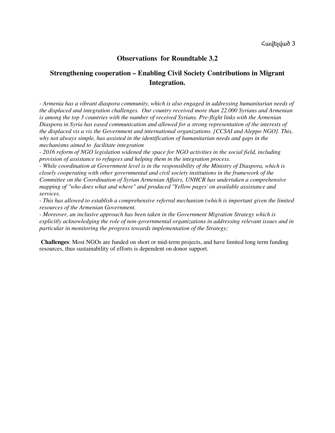### **Observations for Roundtable 3.2**

## **Strengthening cooperation – Enabling Civil Society Contributions in Migrant Integration.**

*- Armenia has a vibrant diaspora community, which is also engaged in addressing humanitarian needs of the displaced and integration challenges. Our country received more than 22.000 Syrians and Armenian is among the top 3 countries with the number of received Syrians. Pre-flight links with the Armenian Diaspora in Syria has eased communication and allowed for a strong representation of the interests of the displaced vis a vis the Government and international organizations. [CCSAI and Aleppo NGO]. This, why not always simple, has assisted in the identification of humanitarian needs and gaps in the mechanisms aimed to facilitate integration*

*- 2016 reform of NGO legislation widened the space for NGO activities in the social field, including provision of assistance to refugees and helping them in the integration process.*

*- While coordination at Government level is in the responsibility of the Ministry of Diaspora, which is closely cooperating with other governmental and civil society institutions in the framework of the Committee on the Coordination of Syrian Armenian Affairs, UNHCR has undertaken a comprehensive mapping of "who does what and where" and produced "Yellow pages' on available assistance and services.*

*- This has allowed to establish a comprehensive referral mechanism (which is important given the limited resources of the Armenian Government.*

*- Moreover, an inclusive approach has been taken in the Government Migration Strategy which is explicitly acknowledging the role of non-governmental organizations in addressing relevant issues and in particular in monitoring the progress towards implementation of the Strategy;* 

 **Challenges**: Most NGOs are funded on short or mid-term projects, and have limited long term funding resources, thus sustainability of efforts is dependent on donor support.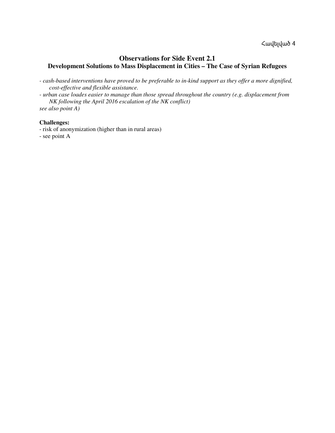## **Observations for Side Event 2.1 Development Solutions to Mass Displacement in Cities – The Case of Syrian Refugees**

- *cash-based interventions have proved to be preferable to in-kind support as they offer a more dignified, cost-effective and flexible assistance.*
- *urban case loades easier to manage than those spread throughout the country (e.g. displacement from NK following the April 2016 escalation of the NK conflict)*

*see also point A)*

#### **Challenges:**

- risk of anonymization (higher than in rural areas)

- see point A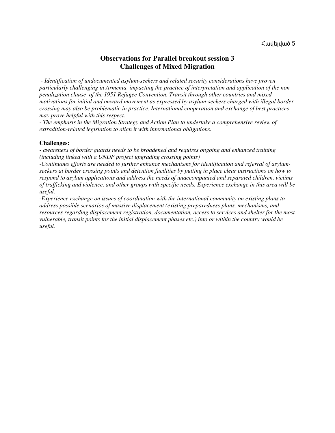## **Observations for Parallel breakout session 3 Challenges of Mixed Migration**

*- Identification of undocumented asylum-seekers and related security considerations have proven particularly challenging in Armenia, impacting the practice of interpretation and application of the nonpenalization clause of the 1951 Refugee Convention. Transit through other countries and mixed motivations for initial and onward movement as expressed by asylum-seekers charged with illegal border crossing may also be problematic in practice. International cooperation and exchange of best practices may prove helpful with this respect.*

*- The emphasis in the Migration Strategy and Action Plan to undertake a comprehensive review of extradition-related legislation to align it with international obligations.*

#### **Challenges:**

*- awareness of border guards needs to be broadened and requires ongoing and enhanced training (including linked with a UNDP project upgrading crossing points)*

*-Continuous efforts are needed to further enhance mechanisms for identification and referral of asylumseekers at border crossing points and detention facilities by putting in place clear instructions on how to respond to asylum applications and address the needs of unaccompanied and separated children, victims of trafficking and violence, and other groups with specific needs. Experience exchange in this area will be useful.*

*-Experience exchange on issues of coordination with the international community on existing plans to address possible scenarios of massive displacement (existing preparedness plans, mechanisms, and resources regarding displacement registration, documentation, access to services and shelter for the most vulnerable, transit points for the initial displacement phases etc.) into or within the country would be useful.*